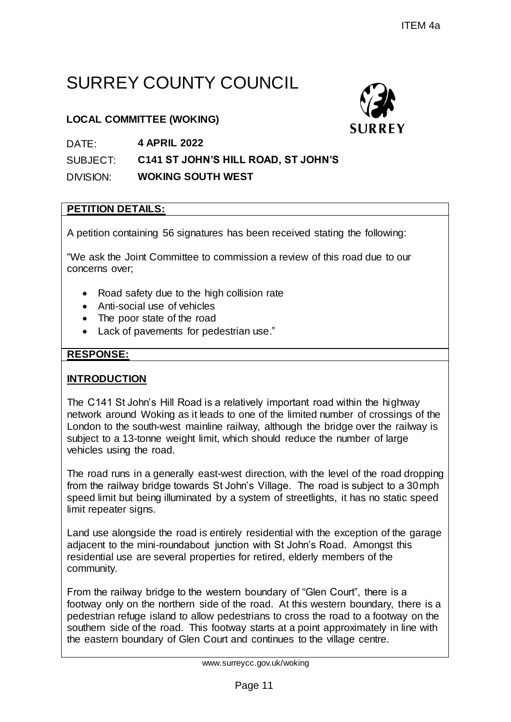# SURREY COUNTY COUNCIL

### **LOCAL COMMITTEE (WOKING)**



SUBJECT: **C141 ST JOHN'S HILL ROAD, ST JOHN'S**

DIVISION: **WOKING SOUTH WEST**

### **PETITION DETAILS:**

A petition containing 56 signatures has been received stating the following:

"We ask the Joint Committee to commission a review of this road due to our concerns over;

- Road safety due to the high collision rate
- Anti-social use of vehicles
- The poor state of the road
- Lack of pavements for pedestrian use."

### **RESPONSE:**

### **INTRODUCTION**

The C141 St John's Hill Road is a relatively important road within the highway network around Woking as it leads to one of the limited number of crossings of the London to the south-west mainline railway, although the bridge over the railway is subject to a 13-tonne weight limit, which should reduce the number of large vehicles using the road. ITEM 4a<br>
CUNCIL<br>
SURREY<br>
LL ROAD, ST JOHN'S<br>
SURREY<br>
EST<br>
SURREY<br>
THEST<br>
THEST<br>
SURREY<br>
THEST<br>
THEST<br>
THEST<br>
THEST<br>
THEST<br>
THEST<br>
THEST<br>
THEST<br>
THEST<br>
THEST<br>
THEST<br>
THEST<br>
THEST<br>
THEST<br>
THEST<br>
THEST<br>
THEST<br>
THEST<br>
THEST<br>
T

The road runs in a generally east-west direction, with the level of the road dropping from the railway bridge towards St John's Village. The road is subject to a 30mph speed limit but being illuminated by a system of streetlights, it has no static speed limit repeater signs.

Land use alongside the road is entirely residential with the exception of the garage adjacent to the mini-roundabout junction with St John's Road. Amongst this residential use are several properties for retired, elderly members of the community.

From the railway bridge to the western boundary of "Glen Court", there is a footway only on the northern side of the road. At this western boundary, there is a pedestrian refuge island to allow pedestrians to cross the road to a footway on the southern side of the road. This footway starts at a point approximately in line with the eastern boundary of Glen Court and continues to the village centre.

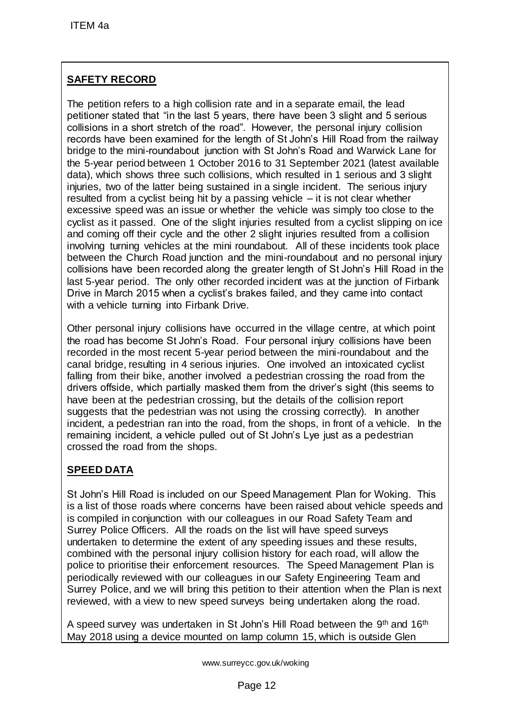# **SAFETY RECORD**

The petition refers to a high collision rate and in a separate email, the lead petitioner stated that "in the last 5 years, there have been 3 slight and 5 serious collisions in a short stretch of the road". However, the personal injury collision records have been examined for the length of St John's Hill Road from the railway bridge to the mini-roundabout junction with St John's Road and Warwick Lane for the 5-year period between 1 October 2016 to 31 September 2021 (latest available data), which shows three such collisions, which resulted in 1 serious and 3 slight injuries, two of the latter being sustained in a single incident. The serious injury resulted from a cyclist being hit by a passing vehicle – it is not clear whether excessive speed was an issue or whether the vehicle was simply too close to the cyclist as it passed. One of the slight injuries resulted from a cyclist slipping on ice and coming off their cycle and the other 2 slight injuries resulted from a collision involving turning vehicles at the mini roundabout. All of these incidents took place between the Church Road junction and the mini-roundabout and no personal injury collisions have been recorded along the greater length of St John's Hill Road in the last 5-year period. The only other recorded incident was at the junction of Firbank Drive in March 2015 when a cyclist's brakes failed, and they came into contact with a vehicle turning into Firbank Drive. ITEM 4a<br>
SAFETY RECORD<br>
The pertition refers to a high collision rate and<br>
Detitioner stated that "in the last 5 years, there<br>
celords have been examined for the road". However<br>
celords have been examined for the length of

Other personal injury collisions have occurred in the village centre, at which point the road has become St John's Road. Four personal injury collisions have been recorded in the most recent 5-year period between the mini-roundabout and the canal bridge, resulting in 4 serious injuries. One involved an intoxicated cyclist falling from their bike, another involved a pedestrian crossing the road from the drivers offside, which partially masked them from the driver's sight (this seems to have been at the pedestrian crossing, but the details of the collision report suggests that the pedestrian was not using the crossing correctly). In another incident, a pedestrian ran into the road, from the shops, in front of a vehicle. In the remaining incident, a vehicle pulled out of St John's Lye just as a pedestrian crossed the road from the shops.

## **SPEED DATA**

St John's Hill Road is included on our Speed Management Plan for Woking. This is a list of those roads where concerns have been raised about vehicle speeds and is compiled in conjunction with our colleagues in our Road Safety Team and Surrey Police Officers. All the roads on the list will have speed surveys undertaken to determine the extent of any speeding issues and these results, combined with the personal injury collision history for each road, will allow the police to prioritise their enforcement resources. The Speed Management Plan is periodically reviewed with our colleagues in our Safety Engineering Team and Surrey Police, and we will bring this petition to their attention when the Plan is next reviewed, with a view to new speed surveys being undertaken along the road.

A speed survey was undertaken in St John's Hill Road between the 9<sup>th</sup> and 16<sup>th</sup> May 2018 using a device mounted on lamp column 15, which is outside Glen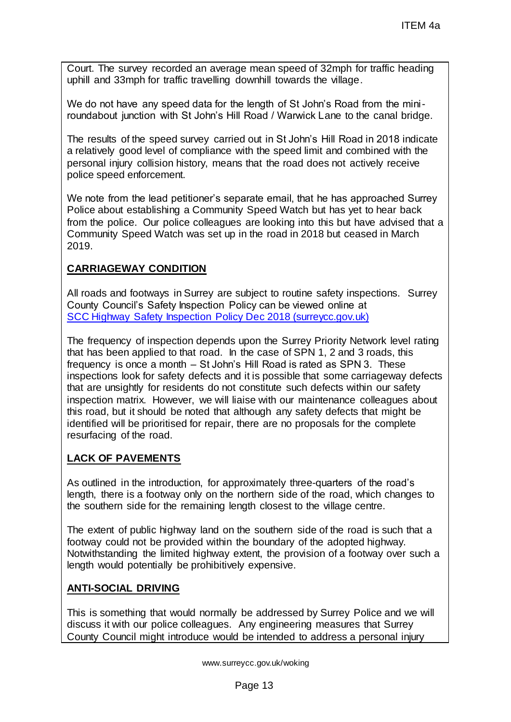Court. The survey recorded an average mean speed of 32mph for traffic heading uphill and 33mph for traffic travelling downhill towards the village.

We do not have any speed data for the length of St John's Road from the miniroundabout junction with St John's Hill Road / Warwick Lane to the canal bridge.

The results of the speed survey carried out in St John's Hill Road in 2018 indicate a relatively good level of compliance with the speed limit and combined with the personal injury collision history, means that the road does not actively receive police speed enforcement.

We note from the lead petitioner's separate email, that he has approached Surrey Police about establishing a Community Speed Watch but has yet to hear back from the police. Our police colleagues are looking into this but have advised that a Community Speed Watch was set up in the road in 2018 but ceased in March 2019.

### **CARRIAGEWAY CONDITION**

All roads and footways in Surrey are subject to routine safety inspections. Surrey County Council's Safety Inspection Policy can be viewed online at [SCC Highway Safety Inspection Policy Dec 2018 \(surreycc.gov.uk\)](https://www.surreycc.gov.uk/__data/assets/pdf_file/0005/34547/SCC-Highway-Safety-Inspection-Policy-Dec-2018.pdf_accessible.pdf)

The frequency of inspection depends upon the Surrey Priority Network level rating that has been applied to that road. In the case of SPN 1, 2 and 3 roads, this frequency is once a month – St John's Hill Road is rated as SPN 3. These inspections look for safety defects and it is possible that some carriageway defects that are unsightly for residents do not constitute such defects within our safety inspection matrix. However, we will liaise with our maintenance colleagues about this road, but it should be noted that although any safety defects that might be identified will be prioritised for repair, there are no proposals for the complete resurfacing of the road. ITEM 4a<br>ge mean speed of 32mph for traffic heading<br>downhill towards the village.<br>He length of St John's Road from the mini-<br>Il Road / Warwick Lane to the canal bridge.<br>He out in St John's Hill Road in 2018 indicate<br>with th

### **LACK OF PAVEMENTS**

As outlined in the introduction, for approximately three-quarters of the road's length, there is a footway only on the northern side of the road, which changes to the southern side for the remaining length closest to the village centre.

The extent of public highway land on the southern side of the road is such that a footway could not be provided within the boundary of the adopted highway. Notwithstanding the limited highway extent, the provision of a footway over such a length would potentially be prohibitively expensive.

#### **ANTI-SOCIAL DRIVING**

This is something that would normally be addressed by Surrey Police and we will discuss it with our police colleagues. Any engineering measures that Surrey County Council might introduce would be intended to address a personal injury